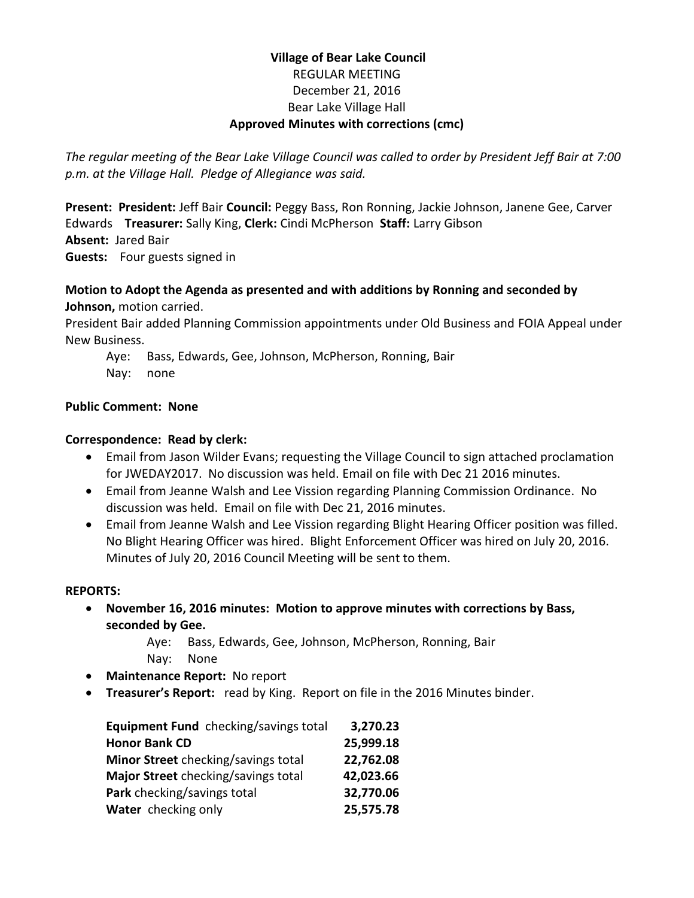## **Village of Bear Lake Council** REGULAR MEETING December 21, 2016 Bear Lake Village Hall **Approved Minutes with corrections (cmc)**

*The regular meeting of the Bear Lake Village Council was called to order by President Jeff Bair at 7:00 p.m. at the Village Hall. Pledge of Allegiance was said.*

**Present: President:** Jeff Bair **Council:** Peggy Bass, Ron Ronning, Jackie Johnson, Janene Gee, Carver Edwards **Treasurer:** Sally King, **Clerk:** Cindi McPherson **Staff:** Larry Gibson **Absent:** Jared Bair **Guests:** Four guests signed in

#### **Motion to Adopt the Agenda as presented and with additions by Ronning and seconded by Johnson,** motion carried.

President Bair added Planning Commission appointments under Old Business and FOIA Appeal under New Business.

- Aye: Bass, Edwards, Gee, Johnson, McPherson, Ronning, Bair
- Nay: none

## **Public Comment: None**

## **Correspondence: Read by clerk:**

- Email from Jason Wilder Evans; requesting the Village Council to sign attached proclamation for JWEDAY2017. No discussion was held. Email on file with Dec 21 2016 minutes.
- Email from Jeanne Walsh and Lee Vission regarding Planning Commission Ordinance. No discussion was held. Email on file with Dec 21, 2016 minutes.
- Email from Jeanne Walsh and Lee Vission regarding Blight Hearing Officer position was filled. No Blight Hearing Officer was hired. Blight Enforcement Officer was hired on July 20, 2016. Minutes of July 20, 2016 Council Meeting will be sent to them.

#### **REPORTS:**

 **November 16, 2016 minutes: Motion to approve minutes with corrections by Bass, seconded by Gee.**

Aye: Bass, Edwards, Gee, Johnson, McPherson, Ronning, Bair Nay: None

- **Maintenance Report:** No report
- **Treasurer's Report:** read by King. Report on file in the 2016 Minutes binder.

| Equipment Fund checking/savings total | 3,270.23  |
|---------------------------------------|-----------|
| <b>Honor Bank CD</b>                  | 25,999.18 |
| Minor Street checking/savings total   | 22,762.08 |
| Major Street checking/savings total   | 42,023.66 |
| Park checking/savings total           | 32,770.06 |
| Water checking only                   | 25,575.78 |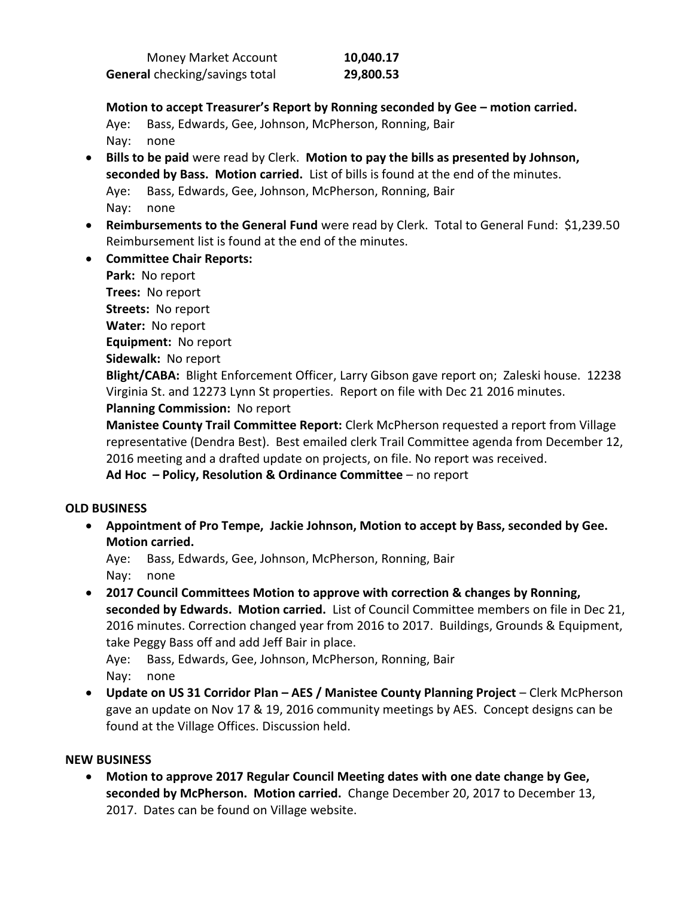| Money Market Account                  | 10,040.17 |
|---------------------------------------|-----------|
| <b>General</b> checking/savings total | 29,800.53 |

**Motion to accept Treasurer's Report by Ronning seconded by Gee – motion carried.**

Aye: Bass, Edwards, Gee, Johnson, McPherson, Ronning, Bair Nay: none

- **Bills to be paid** were read by Clerk. **Motion to pay the bills as presented by Johnson, seconded by Bass. Motion carried.** List of bills is found at the end of the minutes. Aye: Bass, Edwards, Gee, Johnson, McPherson, Ronning, Bair Nay: none
- **Reimbursements to the General Fund** were read by Clerk. Total to General Fund: \$1,239.50 Reimbursement list is found at the end of the minutes.
- **Committee Chair Reports:**

**Park:** No report **Trees:** No report

**Streets:** No report

**Water:** No report

**Equipment:** No report

**Sidewalk:** No report

**Blight/CABA:** Blight Enforcement Officer, Larry Gibson gave report on; Zaleski house. 12238 Virginia St. and 12273 Lynn St properties. Report on file with Dec 21 2016 minutes. **Planning Commission:** No report

**Manistee County Trail Committee Report:** Clerk McPherson requested a report from Village representative (Dendra Best). Best emailed clerk Trail Committee agenda from December 12, 2016 meeting and a drafted update on projects, on file. No report was received.

**Ad Hoc – Policy, Resolution & Ordinance Committee** – no report

#### **OLD BUSINESS**

 **Appointment of Pro Tempe, Jackie Johnson, Motion to accept by Bass, seconded by Gee. Motion carried.**

Aye: Bass, Edwards, Gee, Johnson, McPherson, Ronning, Bair Nay: none

 **2017 Council Committees Motion to approve with correction & changes by Ronning, seconded by Edwards. Motion carried.** List of Council Committee members on file in Dec 21, 2016 minutes. Correction changed year from 2016 to 2017. Buildings, Grounds & Equipment, take Peggy Bass off and add Jeff Bair in place.

Aye: Bass, Edwards, Gee, Johnson, McPherson, Ronning, Bair Nay: none

 **Update on US 31 Corridor Plan – AES / Manistee County Planning Project** – Clerk McPherson gave an update on Nov 17 & 19, 2016 community meetings by AES. Concept designs can be found at the Village Offices. Discussion held.

#### **NEW BUSINESS**

 **Motion to approve 2017 Regular Council Meeting dates with one date change by Gee, seconded by McPherson. Motion carried.** Change December 20, 2017 to December 13, 2017. Dates can be found on Village website.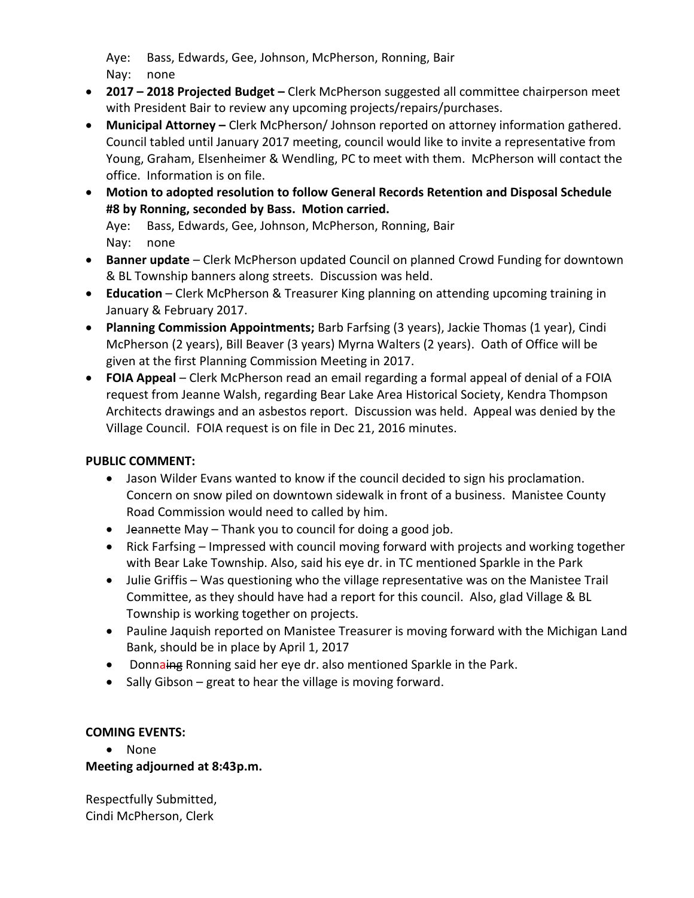Aye: Bass, Edwards, Gee, Johnson, McPherson, Ronning, Bair Nay: none

- **2017 – 2018 Projected Budget –** Clerk McPherson suggested all committee chairperson meet with President Bair to review any upcoming projects/repairs/purchases.
- **Municipal Attorney –** Clerk McPherson/ Johnson reported on attorney information gathered. Council tabled until January 2017 meeting, council would like to invite a representative from Young, Graham, Elsenheimer & Wendling, PC to meet with them. McPherson will contact the office. Information is on file.
- **Motion to adopted resolution to follow General Records Retention and Disposal Schedule #8 by Ronning, seconded by Bass. Motion carried.** Aye: Bass, Edwards, Gee, Johnson, McPherson, Ronning, Bair
	- Nay: none
- **Banner update** Clerk McPherson updated Council on planned Crowd Funding for downtown & BL Township banners along streets. Discussion was held.
- **Education**  Clerk McPherson & Treasurer King planning on attending upcoming training in January & February 2017.
- **Planning Commission Appointments;** Barb Farfsing (3 years), Jackie Thomas (1 year), Cindi McPherson (2 years), Bill Beaver (3 years) Myrna Walters (2 years). Oath of Office will be given at the first Planning Commission Meeting in 2017.
- **FOIA Appeal** Clerk McPherson read an email regarding a formal appeal of denial of a FOIA request from Jeanne Walsh, regarding Bear Lake Area Historical Society, Kendra Thompson Architects drawings and an asbestos report. Discussion was held. Appeal was denied by the Village Council. FOIA request is on file in Dec 21, 2016 minutes.

## **PUBLIC COMMENT:**

- Jason Wilder Evans wanted to know if the council decided to sign his proclamation. Concern on snow piled on downtown sidewalk in front of a business. Manistee County Road Commission would need to called by him.
- Jeannette May Thank you to council for doing a good job.
- Rick Farfsing Impressed with council moving forward with projects and working together with Bear Lake Township. Also, said his eye dr. in TC mentioned Sparkle in the Park
- Julie Griffis Was questioning who the village representative was on the Manistee Trail Committee, as they should have had a report for this council. Also, glad Village & BL Township is working together on projects.
- Pauline Jaquish reported on Manistee Treasurer is moving forward with the Michigan Land Bank, should be in place by April 1, 2017
- Donnaing Ronning said her eye dr. also mentioned Sparkle in the Park.
- $\bullet$  Sally Gibson great to hear the village is moving forward.

## **COMING EVENTS:**

• None

## **Meeting adjourned at 8:43p.m.**

Respectfully Submitted, Cindi McPherson, Clerk